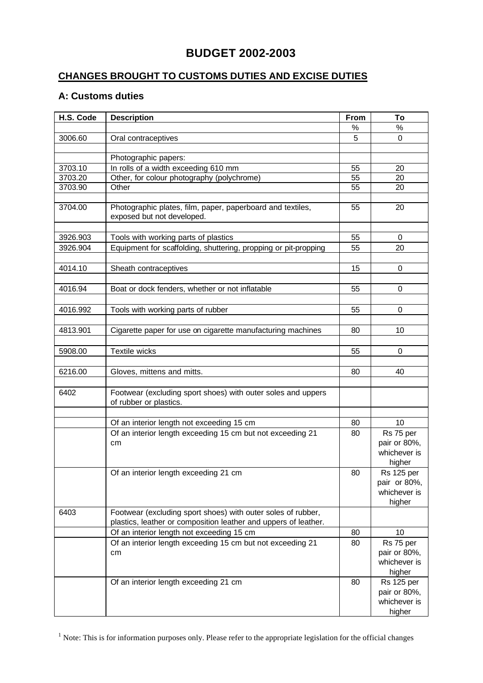## **BUDGET 2002-2003**

## **CHANGES BROUGHT TO CUSTOMS DUTIES AND EXCISE DUTIES**

## **A: Customs duties**

| H.S. Code | <b>Description</b>                                                                       | From | To                     |
|-----------|------------------------------------------------------------------------------------------|------|------------------------|
|           |                                                                                          | %    | %                      |
| 3006.60   | Oral contraceptives                                                                      | 5    | $\mathbf 0$            |
|           |                                                                                          |      |                        |
|           | Photographic papers:                                                                     |      |                        |
| 3703.10   | In rolls of a width exceeding 610 mm                                                     | 55   | 20                     |
| 3703.20   | Other, for colour photography (polychrome)                                               | 55   | 20                     |
| 3703.90   | Other                                                                                    | 55   | 20                     |
|           |                                                                                          |      |                        |
| 3704.00   | Photographic plates, film, paper, paperboard and textiles,<br>exposed but not developed. | 55   | 20                     |
|           |                                                                                          |      |                        |
| 3926.903  | Tools with working parts of plastics                                                     | 55   | 0                      |
| 3926.904  | Equipment for scaffolding, shuttering, propping or pit-propping                          | 55   | 20                     |
|           |                                                                                          |      |                        |
| 4014.10   | Sheath contraceptives                                                                    | 15   | 0                      |
| 4016.94   | Boat or dock fenders, whether or not inflatable                                          | 55   | $\mathbf 0$            |
|           |                                                                                          |      |                        |
| 4016.992  | Tools with working parts of rubber                                                       | 55   | 0                      |
|           |                                                                                          |      |                        |
| 4813.901  | Cigarette paper for use on cigarette manufacturing machines                              | 80   | 10                     |
|           |                                                                                          |      |                        |
| 5908.00   | <b>Textile wicks</b>                                                                     | 55   | 0                      |
|           |                                                                                          |      |                        |
| 6216.00   | Gloves, mittens and mitts.                                                               | 80   | 40                     |
|           |                                                                                          |      |                        |
| 6402      | Footwear (excluding sport shoes) with outer soles and uppers<br>of rubber or plastics.   |      |                        |
|           |                                                                                          |      |                        |
|           | Of an interior length not exceeding 15 cm                                                | 80   | 10                     |
|           | Of an interior length exceeding 15 cm but not exceeding 21                               | 80   | Rs 75 per              |
|           | cm                                                                                       |      | pair or 80%,           |
|           |                                                                                          |      | whichever is           |
|           |                                                                                          |      | higher                 |
|           | Of an interior length exceeding 21 cm                                                    | 80   | <b>Rs 125 per</b>      |
|           |                                                                                          |      | pair or 80%,           |
|           |                                                                                          |      | whichever is<br>higher |
| 6403      | Footwear (excluding sport shoes) with outer soles of rubber,                             |      |                        |
|           | plastics, leather or composition leather and uppers of leather.                          |      |                        |
|           | Of an interior length not exceeding 15 cm                                                | 80   | 10                     |
|           | Of an interior length exceeding 15 cm but not exceeding 21                               | 80   | Rs 75 per              |
|           | cm                                                                                       |      | pair or 80%,           |
|           |                                                                                          |      | whichever is           |
|           |                                                                                          |      | higher                 |
|           | Of an interior length exceeding 21 cm                                                    | 80   | <b>Rs 125 per</b>      |
|           |                                                                                          |      | pair or 80%,           |
|           |                                                                                          |      | whichever is           |
|           |                                                                                          |      | higher                 |

 $<sup>1</sup>$  Note: This is for information purposes only. Please refer to the appropriate legislation for the official changes</sup>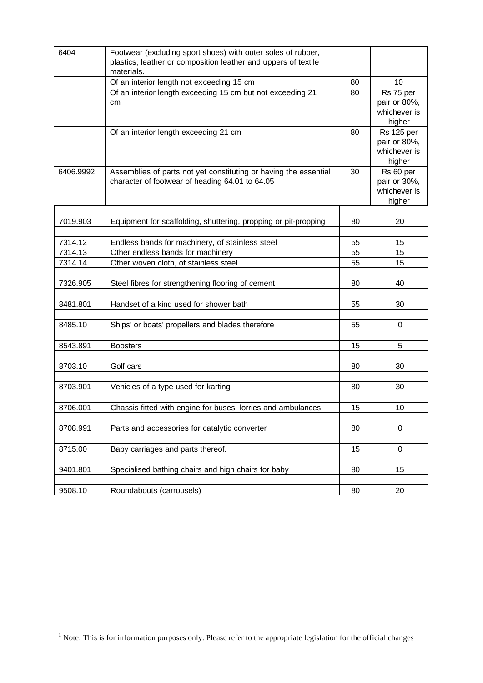| 6404      | Footwear (excluding sport shoes) with outer soles of rubber,<br>plastics, leather or composition leather and uppers of textile<br>materials. |    |                                                             |
|-----------|----------------------------------------------------------------------------------------------------------------------------------------------|----|-------------------------------------------------------------|
|           | Of an interior length not exceeding 15 cm                                                                                                    | 80 | 10                                                          |
|           | Of an interior length exceeding 15 cm but not exceeding 21<br>cm                                                                             | 80 | Rs 75 per<br>pair or 80%,<br>whichever is<br>higher         |
|           | Of an interior length exceeding 21 cm                                                                                                        | 80 | <b>Rs 125 per</b><br>pair or 80%,<br>whichever is<br>higher |
| 6406.9992 | Assemblies of parts not yet constituting or having the essential<br>character of footwear of heading 64.01 to 64.05                          | 30 | Rs 60 per<br>pair or 30%,<br>whichever is<br>higher         |
|           |                                                                                                                                              |    |                                                             |
| 7019.903  | Equipment for scaffolding, shuttering, propping or pit-propping                                                                              | 80 | 20                                                          |
| 7314.12   | Endless bands for machinery, of stainless steel                                                                                              | 55 | 15                                                          |
| 7314.13   | Other endless bands for machinery                                                                                                            | 55 | 15                                                          |
| 7314.14   | Other woven cloth, of stainless steel                                                                                                        | 55 | 15                                                          |
|           |                                                                                                                                              |    |                                                             |
| 7326.905  | Steel fibres for strengthening flooring of cement                                                                                            | 80 | 40                                                          |
|           |                                                                                                                                              |    |                                                             |
| 8481.801  | Handset of a kind used for shower bath                                                                                                       | 55 | 30                                                          |
| 8485.10   | Ships' or boats' propellers and blades therefore                                                                                             | 55 | $\pmb{0}$                                                   |
|           |                                                                                                                                              |    |                                                             |
| 8543.891  | <b>Boosters</b>                                                                                                                              | 15 | 5                                                           |
|           |                                                                                                                                              |    |                                                             |
| 8703.10   | Golf cars                                                                                                                                    | 80 | 30                                                          |
|           |                                                                                                                                              |    |                                                             |
| 8703.901  | Vehicles of a type used for karting                                                                                                          | 80 | 30                                                          |
| 8706.001  | Chassis fitted with engine for buses, lorries and ambulances                                                                                 | 15 | 10                                                          |
|           |                                                                                                                                              |    |                                                             |
| 8708.991  | Parts and accessories for catalytic converter                                                                                                | 80 | 0                                                           |
| 8715.00   | Baby carriages and parts thereof.                                                                                                            | 15 | $\pmb{0}$                                                   |
|           |                                                                                                                                              |    |                                                             |
| 9401.801  | Specialised bathing chairs and high chairs for baby                                                                                          | 80 | 15                                                          |
| 9508.10   | Roundabouts (carrousels)                                                                                                                     | 80 | 20                                                          |

 $<sup>1</sup>$  Note: This is for information purposes only. Please refer to the appropriate legislation for the official changes</sup>